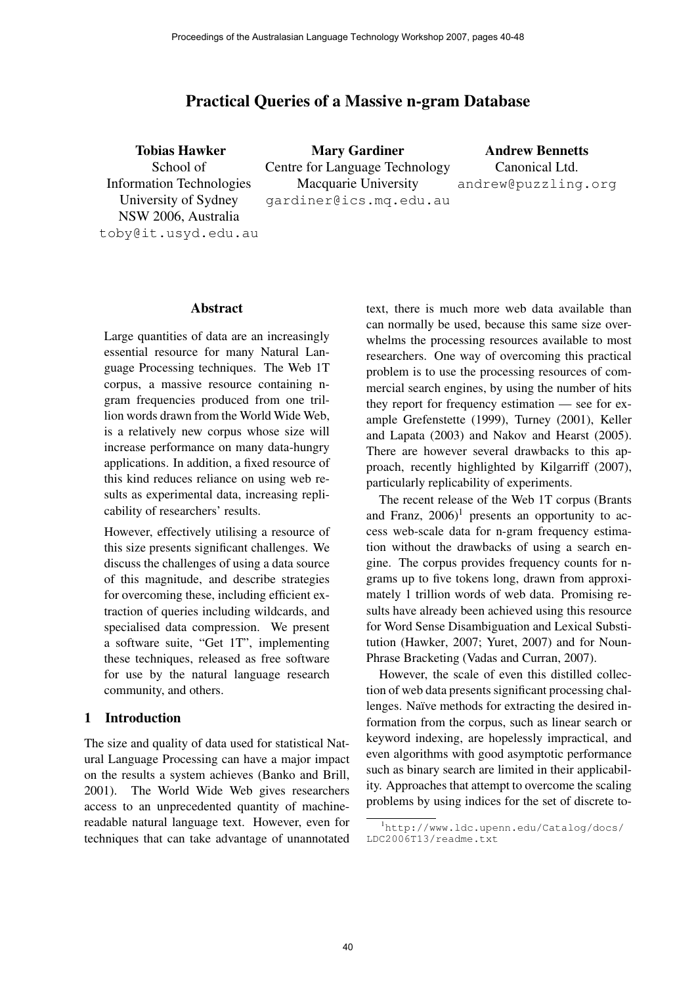# Practical Queries of a Massive n-gram Database

Tobias Hawker School of Information Technologies University of Sydney NSW 2006, Australia [toby@it.usyd.edu.au](mailto:toby@it.usyd.edu.au) Mary Gardiner Centre for Language Technology Macquarie University [gardiner@ics.mq.edu.au](mailto:gardiner@ics.mq.edu.au) Andrew Bennetts Canonical Ltd. [andrew@puzzling.org](mailto:andrew@puzzling.org)

### Abstract

Large quantities of data are an increasingly essential resource for many Natural Language Processing techniques. The Web 1T corpus, a massive resource containing ngram frequencies produced from one trillion words drawn from the World Wide Web, is a relatively new corpus whose size will increase performance on many data-hungry applications. In addition, a fixed resource of this kind reduces reliance on using web results as experimental data, increasing replicability of researchers' results.

However, effectively utilising a resource of this size presents significant challenges. We discuss the challenges of using a data source of this magnitude, and describe strategies for overcoming these, including efficient extraction of queries including wildcards, and specialised data compression. We present a software suite, "Get 1T", implementing these techniques, released as free software for use by the natural language research community, and others.

## 1 Introduction

The size and quality of data used for statistical Natural Language Processing can have a major impact on the results a system achieves (Banko and Brill, 2001). The World Wide Web gives researchers access to an unprecedented quantity of machinereadable natural language text. However, even for techniques that can take advantage of unannotated text, there is much more web data available than can normally be used, because this same size overwhelms the processing resources available to most researchers. One way of overcoming this practical problem is to use the processing resources of commercial search engines, by using the number of hits they report for frequency estimation — see for example Grefenstette (1999), Turney (2001), Keller and Lapata (2003) and Nakov and Hearst (2005). There are however several drawbacks to this approach, recently highlighted by Kilgarriff (2007), particularly replicability of experiments.

The recent release of the Web 1T corpus (Brants and Franz,  $2006$ <sup>1</sup> presents an opportunity to access web-scale data for n-gram frequency estimation without the drawbacks of using a search engine. The corpus provides frequency counts for ngrams up to five tokens long, drawn from approximately 1 trillion words of web data. Promising results have already been achieved using this resource for Word Sense Disambiguation and Lexical Substitution (Hawker, 2007; Yuret, 2007) and for Noun-Phrase Bracketing (Vadas and Curran, 2007).

However, the scale of even this distilled collection of web data presents significant processing challenges. Naïve methods for extracting the desired information from the corpus, such as linear search or keyword indexing, are hopelessly impractical, and even algorithms with good asymptotic performance such as binary search are limited in their applicability. Approaches that attempt to overcome the scaling problems by using indices for the set of discrete to-

<sup>1</sup>http://[www.ldc.upenn.edu/Catalog/docs/](http://www.ldc.upenn.edu/Catalog/docs/) LDC2006T13/readme.txt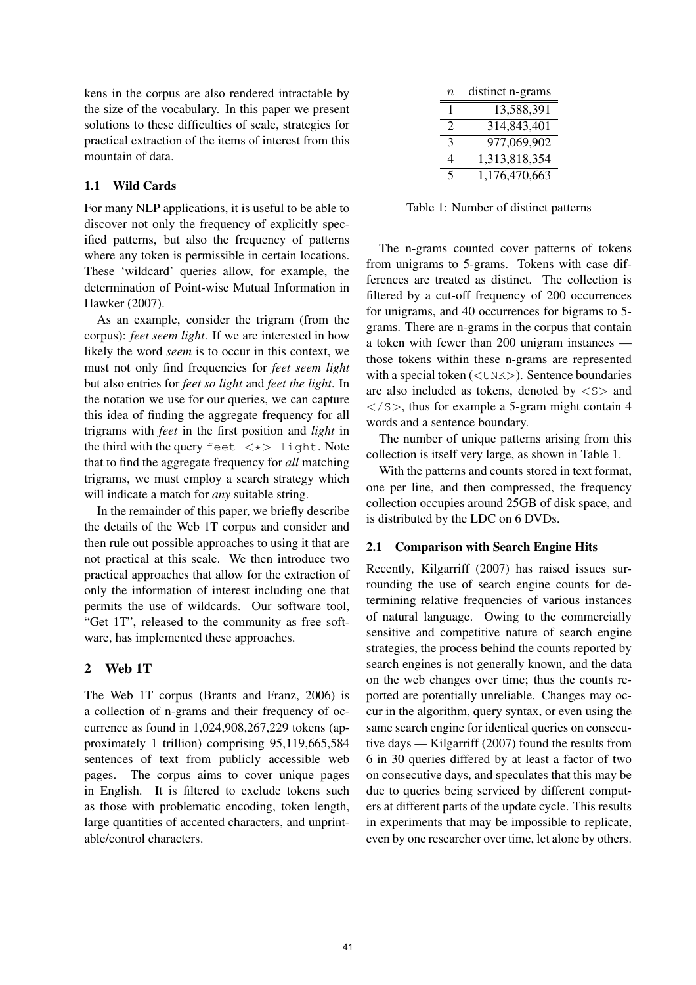kens in the corpus are also rendered intractable by the size of the vocabulary. In this paper we present solutions to these difficulties of scale, strategies for practical extraction of the items of interest from this mountain of data.

## 1.1 Wild Cards

For many NLP applications, it is useful to be able to discover not only the frequency of explicitly specified patterns, but also the frequency of patterns where any token is permissible in certain locations. These 'wildcard' queries allow, for example, the determination of Point-wise Mutual Information in Hawker (2007).

As an example, consider the trigram (from the corpus): *feet seem light*. If we are interested in how likely the word *seem* is to occur in this context, we must not only find frequencies for *feet seem light* but also entries for *feet so light* and *feet the light*. In the notation we use for our queries, we can capture this idea of finding the aggregate frequency for all trigrams with *feet* in the first position and *light* in the third with the query feet  $\langle * \rangle$  light. Note that to find the aggregate frequency for *all* matching trigrams, we must employ a search strategy which will indicate a match for *any* suitable string.

In the remainder of this paper, we briefly describe the details of the Web 1T corpus and consider and then rule out possible approaches to using it that are not practical at this scale. We then introduce two practical approaches that allow for the extraction of only the information of interest including one that permits the use of wildcards. Our software tool, "Get 1T", released to the community as free software, has implemented these approaches.

## 2 Web 1T

The Web 1T corpus (Brants and Franz, 2006) is a collection of n-grams and their frequency of occurrence as found in 1,024,908,267,229 tokens (approximately 1 trillion) comprising 95,119,665,584 sentences of text from publicly accessible web pages. The corpus aims to cover unique pages in English. It is filtered to exclude tokens such as those with problematic encoding, token length, large quantities of accented characters, and unprintable/control characters.

| n                           | distinct n-grams |
|-----------------------------|------------------|
|                             | 13,588,391       |
| $\mathcal{D}_{\mathcal{L}}$ | 314,843,401      |
| 3                           | 977,069,902      |
| 4                           | 1,313,818,354    |
| $\varsigma$                 | 1,176,470,663    |

Table 1: Number of distinct patterns

The n-grams counted cover patterns of tokens from unigrams to 5-grams. Tokens with case differences are treated as distinct. The collection is filtered by a cut-off frequency of 200 occurrences for unigrams, and 40 occurrences for bigrams to 5 grams. There are n-grams in the corpus that contain a token with fewer than 200 unigram instances those tokens within these n-grams are represented with a special token  $(<$ UNK $>$ ). Sentence boundaries are also included as tokens, denoted by  $\langle S \rangle$  and  $\langle$ /S>, thus for example a 5-gram might contain 4 words and a sentence boundary.

The number of unique patterns arising from this collection is itself very large, as shown in Table 1.

With the patterns and counts stored in text format, one per line, and then compressed, the frequency collection occupies around 25GB of disk space, and is distributed by the LDC on 6 DVDs.

## 2.1 Comparison with Search Engine Hits

Recently, Kilgarriff (2007) has raised issues surrounding the use of search engine counts for determining relative frequencies of various instances of natural language. Owing to the commercially sensitive and competitive nature of search engine strategies, the process behind the counts reported by search engines is not generally known, and the data on the web changes over time; thus the counts reported are potentially unreliable. Changes may occur in the algorithm, query syntax, or even using the same search engine for identical queries on consecutive days — Kilgarriff (2007) found the results from 6 in 30 queries differed by at least a factor of two on consecutive days, and speculates that this may be due to queries being serviced by different computers at different parts of the update cycle. This results in experiments that may be impossible to replicate, even by one researcher over time, let alone by others.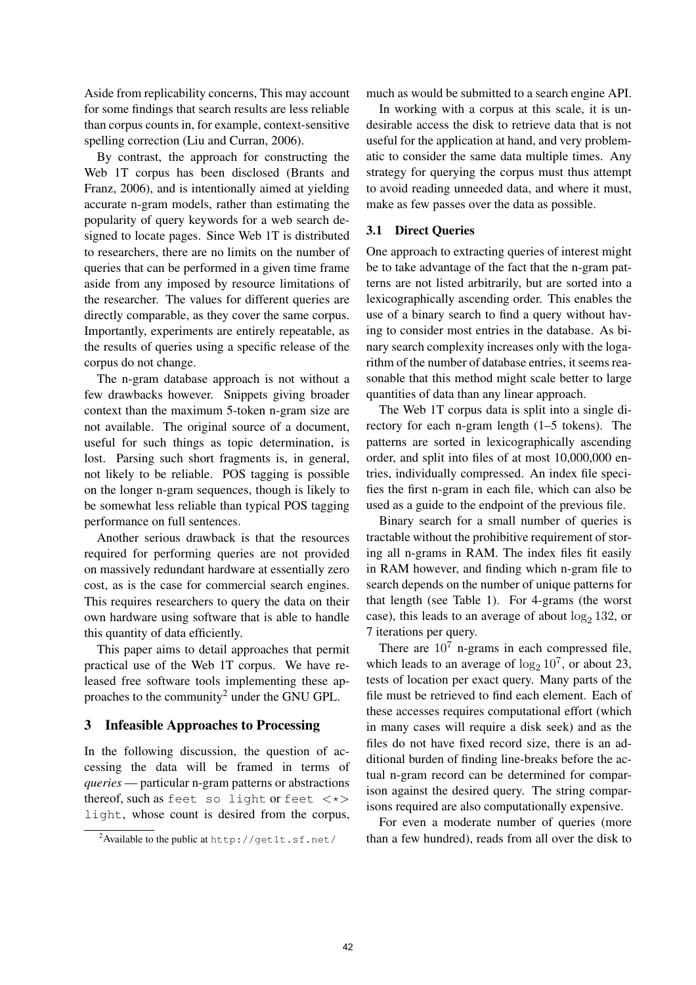Aside from replicability concerns, This may account for some findings that search results are less reliable than corpus counts in, for example, context-sensitive spelling correction (Liu and Curran, 2006).

By contrast, the approach for constructing the Web 1T corpus has been disclosed (Brants and Franz, 2006), and is intentionally aimed at yielding accurate n-gram models, rather than estimating the popularity of query keywords for a web search designed to locate pages. Since Web 1T is distributed to researchers, there are no limits on the number of queries that can be performed in a given time frame aside from any imposed by resource limitations of the researcher. The values for different queries are directly comparable, as they cover the same corpus. Importantly, experiments are entirely repeatable, as the results of queries using a specific release of the corpus do not change.

The n-gram database approach is not without a few drawbacks however. Snippets giving broader context than the maximum 5-token n-gram size are not available. The original source of a document, useful for such things as topic determination, is lost. Parsing such short fragments is, in general, not likely to be reliable. POS tagging is possible on the longer n-gram sequences, though is likely to be somewhat less reliable than typical POS tagging performance on full sentences.

Another serious drawback is that the resources required for performing queries are not provided on massively redundant hardware at essentially zero cost, as is the case for commercial search engines. This requires researchers to query the data on their own hardware using software that is able to handle this quantity of data efficiently.

This paper aims to detail approaches that permit practical use of the Web 1T corpus. We have released free software tools implementing these approaches to the community<sup>2</sup> under the GNU GPL.

## 3 Infeasible Approaches to Processing

In the following discussion, the question of accessing the data will be framed in terms of *queries* — particular n-gram patterns or abstractions thereof, such as feet so light or feet  $\langle * \rangle$ light, whose count is desired from the corpus, much as would be submitted to a search engine API.

In working with a corpus at this scale, it is undesirable access the disk to retrieve data that is not useful for the application at hand, and very problematic to consider the same data multiple times. Any strategy for querying the corpus must thus attempt to avoid reading unneeded data, and where it must, make as few passes over the data as possible.

## 3.1 Direct Queries

One approach to extracting queries of interest might be to take advantage of the fact that the n-gram patterns are not listed arbitrarily, but are sorted into a lexicographically ascending order. This enables the use of a binary search to find a query without having to consider most entries in the database. As binary search complexity increases only with the logarithm of the number of database entries, it seems reasonable that this method might scale better to large quantities of data than any linear approach.

The Web 1T corpus data is split into a single directory for each n-gram length (1–5 tokens). The patterns are sorted in lexicographically ascending order, and split into files of at most 10,000,000 entries, individually compressed. An index file specifies the first n-gram in each file, which can also be used as a guide to the endpoint of the previous file.

Binary search for a small number of queries is tractable without the prohibitive requirement of storing all n-grams in RAM. The index files fit easily in RAM however, and finding which n-gram file to search depends on the number of unique patterns for that length (see Table 1). For 4-grams (the worst case), this leads to an average of about  $log_2 132$ , or 7 iterations per query.

There are  $10<sup>7</sup>$  n-grams in each compressed file, which leads to an average of  $\log_2 10^7$ , or about 23, tests of location per exact query. Many parts of the file must be retrieved to find each element. Each of these accesses requires computational effort (which in many cases will require a disk seek) and as the files do not have fixed record size, there is an additional burden of finding line-breaks before the actual n-gram record can be determined for comparison against the desired query. The string comparisons required are also computationally expensive.

For even a moderate number of queries (more than a few hundred), reads from all over the disk to

<sup>2</sup>Available to the public at <http://get1t.sf.net/>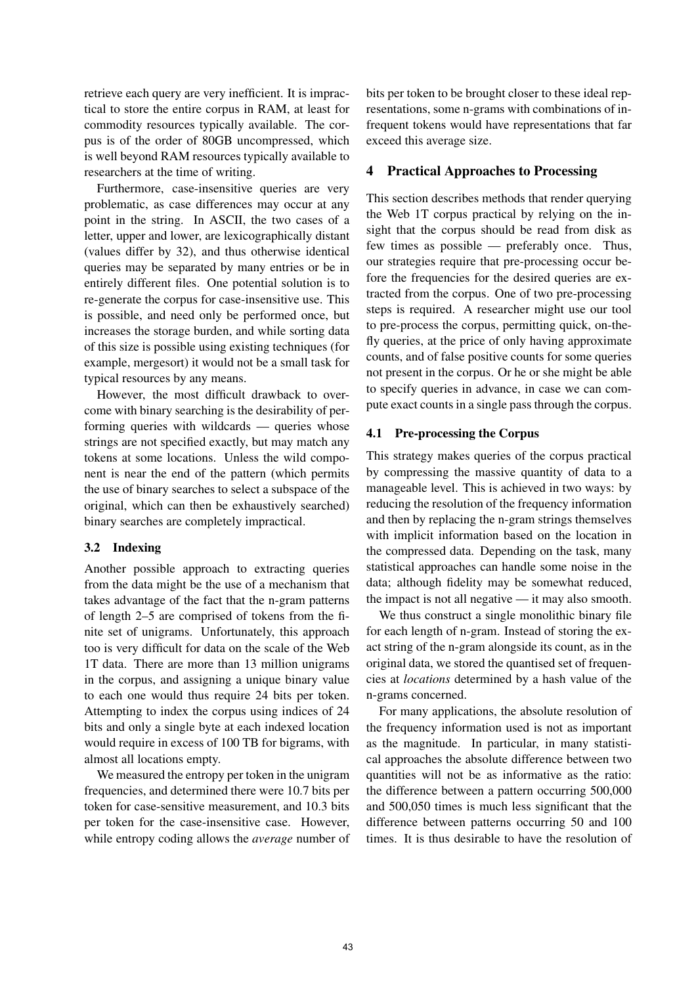retrieve each query are very inefficient. It is impractical to store the entire corpus in RAM, at least for commodity resources typically available. The corpus is of the order of 80GB uncompressed, which is well beyond RAM resources typically available to researchers at the time of writing.

Furthermore, case-insensitive queries are very problematic, as case differences may occur at any point in the string. In ASCII, the two cases of a letter, upper and lower, are lexicographically distant (values differ by 32), and thus otherwise identical queries may be separated by many entries or be in entirely different files. One potential solution is to re-generate the corpus for case-insensitive use. This is possible, and need only be performed once, but increases the storage burden, and while sorting data of this size is possible using existing techniques (for example, mergesort) it would not be a small task for typical resources by any means.

However, the most difficult drawback to overcome with binary searching is the desirability of performing queries with wildcards — queries whose strings are not specified exactly, but may match any tokens at some locations. Unless the wild component is near the end of the pattern (which permits the use of binary searches to select a subspace of the original, which can then be exhaustively searched) binary searches are completely impractical.

## 3.2 Indexing

Another possible approach to extracting queries from the data might be the use of a mechanism that takes advantage of the fact that the n-gram patterns of length 2–5 are comprised of tokens from the finite set of unigrams. Unfortunately, this approach too is very difficult for data on the scale of the Web 1T data. There are more than 13 million unigrams in the corpus, and assigning a unique binary value to each one would thus require 24 bits per token. Attempting to index the corpus using indices of 24 bits and only a single byte at each indexed location would require in excess of 100 TB for bigrams, with almost all locations empty.

We measured the entropy per token in the unigram frequencies, and determined there were 10.7 bits per token for case-sensitive measurement, and 10.3 bits per token for the case-insensitive case. However, while entropy coding allows the *average* number of bits per token to be brought closer to these ideal representations, some n-grams with combinations of infrequent tokens would have representations that far exceed this average size.

## 4 Practical Approaches to Processing

This section describes methods that render querying the Web 1T corpus practical by relying on the insight that the corpus should be read from disk as few times as possible — preferably once. Thus, our strategies require that pre-processing occur before the frequencies for the desired queries are extracted from the corpus. One of two pre-processing steps is required. A researcher might use our tool to pre-process the corpus, permitting quick, on-thefly queries, at the price of only having approximate counts, and of false positive counts for some queries not present in the corpus. Or he or she might be able to specify queries in advance, in case we can compute exact counts in a single pass through the corpus.

## 4.1 Pre-processing the Corpus

This strategy makes queries of the corpus practical by compressing the massive quantity of data to a manageable level. This is achieved in two ways: by reducing the resolution of the frequency information and then by replacing the n-gram strings themselves with implicit information based on the location in the compressed data. Depending on the task, many statistical approaches can handle some noise in the data; although fidelity may be somewhat reduced, the impact is not all negative — it may also smooth.

We thus construct a single monolithic binary file for each length of n-gram. Instead of storing the exact string of the n-gram alongside its count, as in the original data, we stored the quantised set of frequencies at *locations* determined by a hash value of the n-grams concerned.

For many applications, the absolute resolution of the frequency information used is not as important as the magnitude. In particular, in many statistical approaches the absolute difference between two quantities will not be as informative as the ratio: the difference between a pattern occurring 500,000 and 500,050 times is much less significant that the difference between patterns occurring 50 and 100 times. It is thus desirable to have the resolution of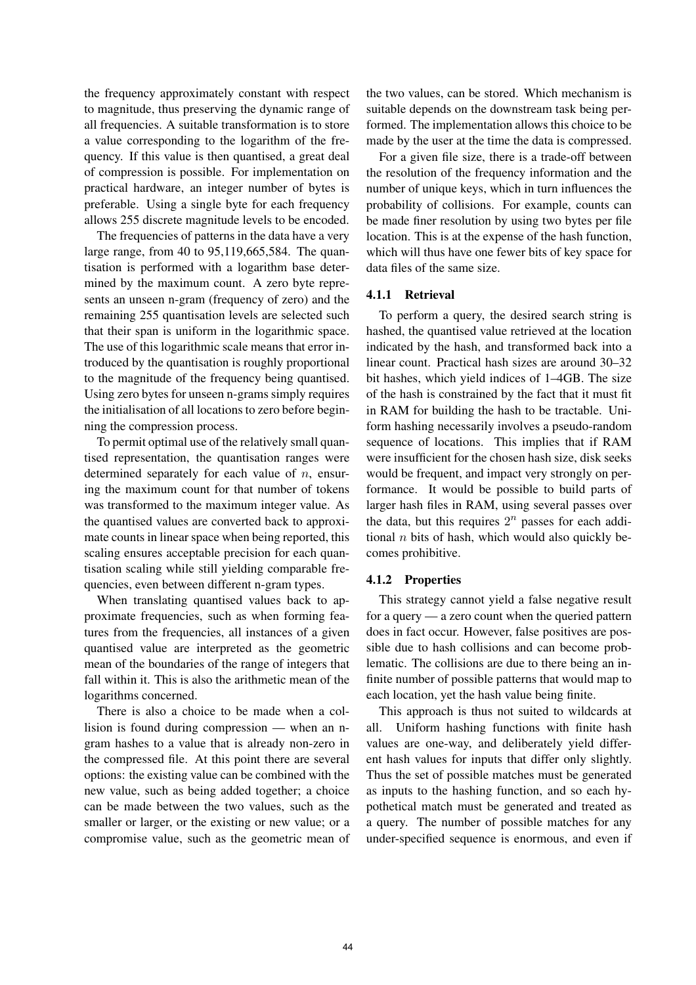the frequency approximately constant with respect to magnitude, thus preserving the dynamic range of all frequencies. A suitable transformation is to store a value corresponding to the logarithm of the frequency. If this value is then quantised, a great deal of compression is possible. For implementation on practical hardware, an integer number of bytes is preferable. Using a single byte for each frequency allows 255 discrete magnitude levels to be encoded.

The frequencies of patterns in the data have a very large range, from 40 to 95,119,665,584. The quantisation is performed with a logarithm base determined by the maximum count. A zero byte represents an unseen n-gram (frequency of zero) and the remaining 255 quantisation levels are selected such that their span is uniform in the logarithmic space. The use of this logarithmic scale means that error introduced by the quantisation is roughly proportional to the magnitude of the frequency being quantised. Using zero bytes for unseen n-grams simply requires the initialisation of all locations to zero before beginning the compression process.

To permit optimal use of the relatively small quantised representation, the quantisation ranges were determined separately for each value of  $n$ , ensuring the maximum count for that number of tokens was transformed to the maximum integer value. As the quantised values are converted back to approximate counts in linear space when being reported, this scaling ensures acceptable precision for each quantisation scaling while still yielding comparable frequencies, even between different n-gram types.

When translating quantised values back to approximate frequencies, such as when forming features from the frequencies, all instances of a given quantised value are interpreted as the geometric mean of the boundaries of the range of integers that fall within it. This is also the arithmetic mean of the logarithms concerned.

There is also a choice to be made when a collision is found during compression — when an ngram hashes to a value that is already non-zero in the compressed file. At this point there are several options: the existing value can be combined with the new value, such as being added together; a choice can be made between the two values, such as the smaller or larger, or the existing or new value; or a compromise value, such as the geometric mean of

the two values, can be stored. Which mechanism is suitable depends on the downstream task being performed. The implementation allows this choice to be made by the user at the time the data is compressed.

For a given file size, there is a trade-off between the resolution of the frequency information and the number of unique keys, which in turn influences the probability of collisions. For example, counts can be made finer resolution by using two bytes per file location. This is at the expense of the hash function, which will thus have one fewer bits of key space for data files of the same size.

## 4.1.1 Retrieval

To perform a query, the desired search string is hashed, the quantised value retrieved at the location indicated by the hash, and transformed back into a linear count. Practical hash sizes are around 30–32 bit hashes, which yield indices of 1–4GB. The size of the hash is constrained by the fact that it must fit in RAM for building the hash to be tractable. Uniform hashing necessarily involves a pseudo-random sequence of locations. This implies that if RAM were insufficient for the chosen hash size, disk seeks would be frequent, and impact very strongly on performance. It would be possible to build parts of larger hash files in RAM, using several passes over the data, but this requires  $2^n$  passes for each additional  $n$  bits of hash, which would also quickly becomes prohibitive.

#### 4.1.2 Properties

This strategy cannot yield a false negative result for a query — a zero count when the queried pattern does in fact occur. However, false positives are possible due to hash collisions and can become problematic. The collisions are due to there being an infinite number of possible patterns that would map to each location, yet the hash value being finite.

This approach is thus not suited to wildcards at all. Uniform hashing functions with finite hash values are one-way, and deliberately yield different hash values for inputs that differ only slightly. Thus the set of possible matches must be generated as inputs to the hashing function, and so each hypothetical match must be generated and treated as a query. The number of possible matches for any under-specified sequence is enormous, and even if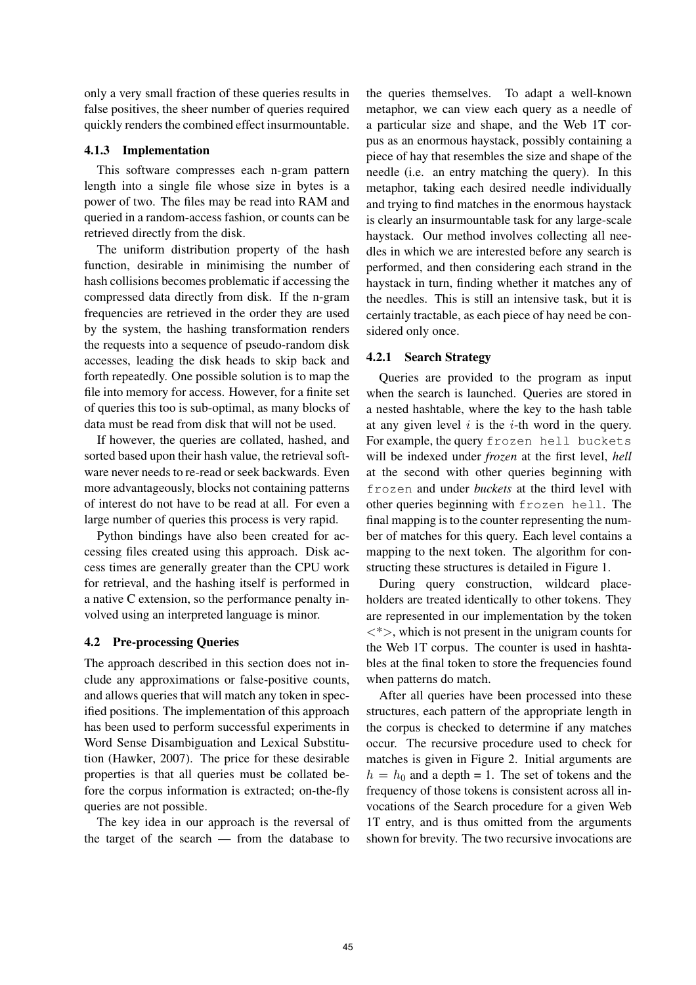only a very small fraction of these queries results in false positives, the sheer number of queries required quickly renders the combined effect insurmountable.

## 4.1.3 Implementation

This software compresses each n-gram pattern length into a single file whose size in bytes is a power of two. The files may be read into RAM and queried in a random-access fashion, or counts can be retrieved directly from the disk.

The uniform distribution property of the hash function, desirable in minimising the number of hash collisions becomes problematic if accessing the compressed data directly from disk. If the n-gram frequencies are retrieved in the order they are used by the system, the hashing transformation renders the requests into a sequence of pseudo-random disk accesses, leading the disk heads to skip back and forth repeatedly. One possible solution is to map the file into memory for access. However, for a finite set of queries this too is sub-optimal, as many blocks of data must be read from disk that will not be used.

If however, the queries are collated, hashed, and sorted based upon their hash value, the retrieval software never needs to re-read or seek backwards. Even more advantageously, blocks not containing patterns of interest do not have to be read at all. For even a large number of queries this process is very rapid.

Python bindings have also been created for accessing files created using this approach. Disk access times are generally greater than the CPU work for retrieval, and the hashing itself is performed in a native C extension, so the performance penalty involved using an interpreted language is minor.

## 4.2 Pre-processing Queries

The approach described in this section does not include any approximations or false-positive counts, and allows queries that will match any token in specified positions. The implementation of this approach has been used to perform successful experiments in Word Sense Disambiguation and Lexical Substitution (Hawker, 2007). The price for these desirable properties is that all queries must be collated before the corpus information is extracted; on-the-fly queries are not possible.

The key idea in our approach is the reversal of the target of the search — from the database to

the queries themselves. To adapt a well-known metaphor, we can view each query as a needle of a particular size and shape, and the Web 1T corpus as an enormous haystack, possibly containing a piece of hay that resembles the size and shape of the needle (i.e. an entry matching the query). In this metaphor, taking each desired needle individually and trying to find matches in the enormous haystack is clearly an insurmountable task for any large-scale haystack. Our method involves collecting all needles in which we are interested before any search is performed, and then considering each strand in the haystack in turn, finding whether it matches any of the needles. This is still an intensive task, but it is certainly tractable, as each piece of hay need be considered only once.

#### 4.2.1 Search Strategy

Queries are provided to the program as input when the search is launched. Queries are stored in a nested hashtable, where the key to the hash table at any given level  $i$  is the  $i$ -th word in the query. For example, the query frozen hell buckets will be indexed under *frozen* at the first level, *hell* at the second with other queries beginning with frozen and under *buckets* at the third level with other queries beginning with frozen hell. The final mapping is to the counter representing the number of matches for this query. Each level contains a mapping to the next token. The algorithm for constructing these structures is detailed in Figure 1.

During query construction, wildcard placeholders are treated identically to other tokens. They are represented in our implementation by the token  $\langle\langle\rangle$ , which is not present in the unigram counts for the Web 1T corpus. The counter is used in hashtables at the final token to store the frequencies found when patterns do match.

After all queries have been processed into these structures, each pattern of the appropriate length in the corpus is checked to determine if any matches occur. The recursive procedure used to check for matches is given in Figure 2. Initial arguments are  $h = h_0$  and a depth = 1. The set of tokens and the frequency of those tokens is consistent across all invocations of the Search procedure for a given Web 1T entry, and is thus omitted from the arguments shown for brevity. The two recursive invocations are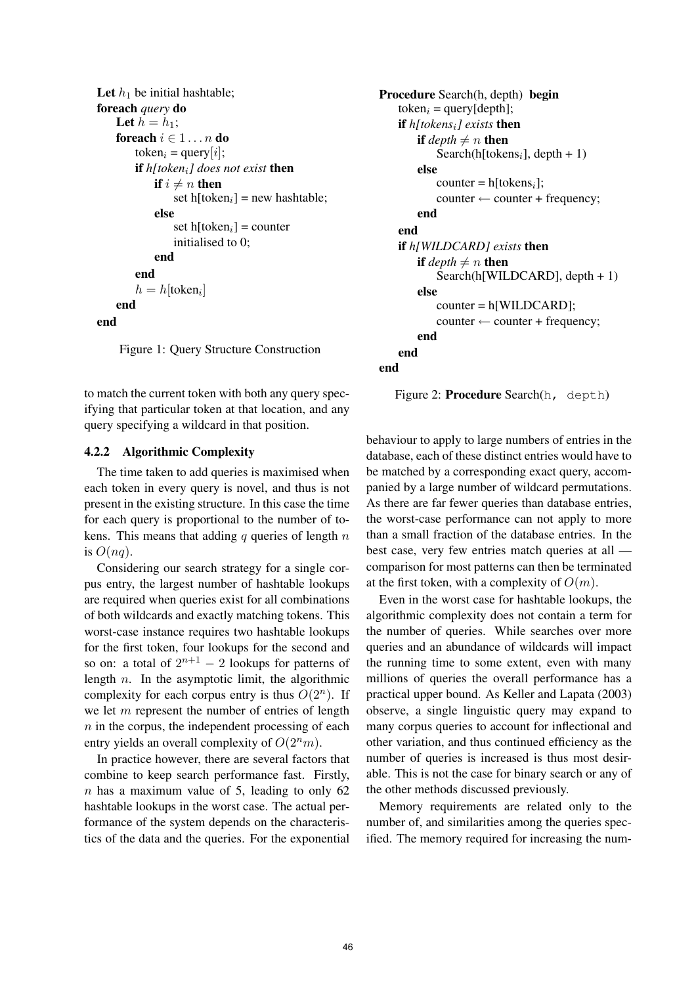```
Let h_1 be initial hashtable;
foreach query do
    Let h = h_1;
    foreach i \in 1 \ldots n do
         token_i = query[i];if h[tokeni] does not exist then
             if i \neq n then
                  set h[token<sub>i</sub>] = new hashtable;
             else
                  set h[token<sub>i</sub>] = counter
                  initialised to 0;
             end
         end
         h = h[token<sub>i</sub>]
    end
end
```
Figure 1: Query Structure Construction

to match the current token with both any query specifying that particular token at that location, and any query specifying a wildcard in that position.

### 4.2.2 Algorithmic Complexity

The time taken to add queries is maximised when each token in every query is novel, and thus is not present in the existing structure. In this case the time for each query is proportional to the number of tokens. This means that adding q queries of length  $n$ is  $O(nq)$ .

Considering our search strategy for a single corpus entry, the largest number of hashtable lookups are required when queries exist for all combinations of both wildcards and exactly matching tokens. This worst-case instance requires two hashtable lookups for the first token, four lookups for the second and so on: a total of  $2^{n+1} - 2$  lookups for patterns of length  $n$ . In the asymptotic limit, the algorithmic complexity for each corpus entry is thus  $O(2^n)$ . If we let  $m$  represent the number of entries of length  $n$  in the corpus, the independent processing of each entry yields an overall complexity of  $O(2<sup>n</sup>m)$ .

In practice however, there are several factors that combine to keep search performance fast. Firstly,  $n$  has a maximum value of 5, leading to only 62 hashtable lookups in the worst case. The actual performance of the system depends on the characteristics of the data and the queries. For the exponential

```
Procedure Search(h, depth) begin
    token_i = query[depth];if h[tokensi] exists then
        if depth \neq n then
           Search(h[tokens<sub>i</sub>], depth + 1)
        else
           counter = h[tokens_i];counter \leftarrow counter + frequency;end
   end
    if h[WILDCARD] exists then
        if depth \neq n then
           Search(h[WILDCARD], depth + 1)
        else
           counter = h[WILDCARD];
           counter \leftarrow counter + frequency;end
   end
end
```
Figure 2: Procedure Search(h, depth)

behaviour to apply to large numbers of entries in the database, each of these distinct entries would have to be matched by a corresponding exact query, accompanied by a large number of wildcard permutations. As there are far fewer queries than database entries, the worst-case performance can not apply to more than a small fraction of the database entries. In the best case, very few entries match queries at all comparison for most patterns can then be terminated at the first token, with a complexity of  $O(m)$ .

Even in the worst case for hashtable lookups, the algorithmic complexity does not contain a term for the number of queries. While searches over more queries and an abundance of wildcards will impact the running time to some extent, even with many millions of queries the overall performance has a practical upper bound. As Keller and Lapata (2003) observe, a single linguistic query may expand to many corpus queries to account for inflectional and other variation, and thus continued efficiency as the number of queries is increased is thus most desirable. This is not the case for binary search or any of the other methods discussed previously.

Memory requirements are related only to the number of, and similarities among the queries specified. The memory required for increasing the num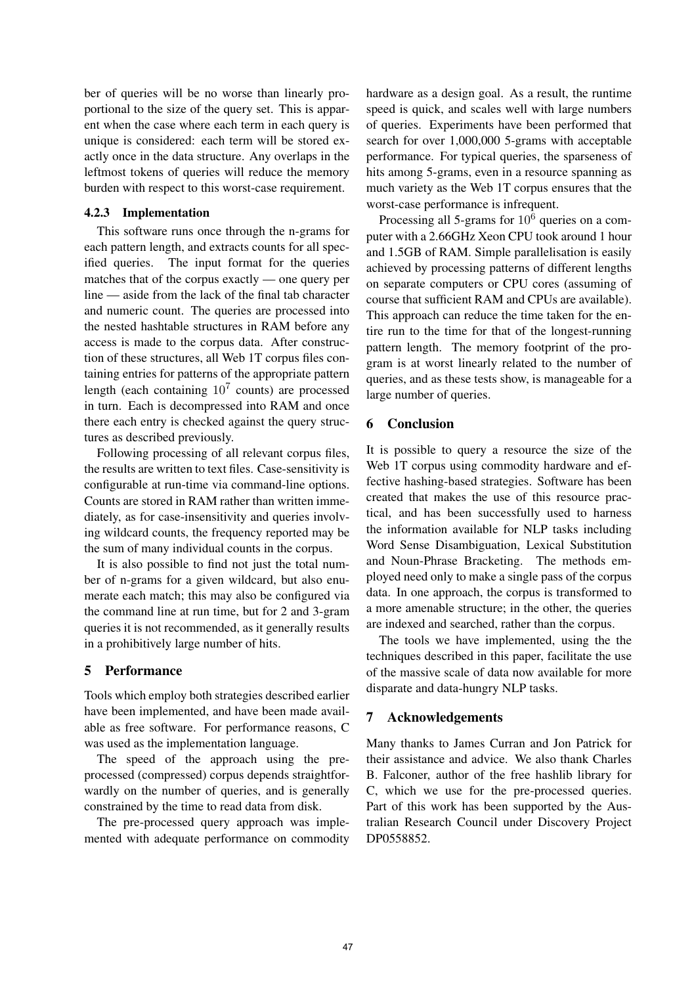ber of queries will be no worse than linearly proportional to the size of the query set. This is apparent when the case where each term in each query is unique is considered: each term will be stored exactly once in the data structure. Any overlaps in the leftmost tokens of queries will reduce the memory burden with respect to this worst-case requirement.

### 4.2.3 Implementation

This software runs once through the n-grams for each pattern length, and extracts counts for all specified queries. The input format for the queries matches that of the corpus exactly — one query per line — aside from the lack of the final tab character and numeric count. The queries are processed into the nested hashtable structures in RAM before any access is made to the corpus data. After construction of these structures, all Web 1T corpus files containing entries for patterns of the appropriate pattern length (each containing  $10^7$  counts) are processed in turn. Each is decompressed into RAM and once there each entry is checked against the query structures as described previously.

Following processing of all relevant corpus files, the results are written to text files. Case-sensitivity is configurable at run-time via command-line options. Counts are stored in RAM rather than written immediately, as for case-insensitivity and queries involving wildcard counts, the frequency reported may be the sum of many individual counts in the corpus.

It is also possible to find not just the total number of n-grams for a given wildcard, but also enumerate each match; this may also be configured via the command line at run time, but for 2 and 3-gram queries it is not recommended, as it generally results in a prohibitively large number of hits.

## 5 Performance

Tools which employ both strategies described earlier have been implemented, and have been made available as free software. For performance reasons, C was used as the implementation language.

The speed of the approach using the preprocessed (compressed) corpus depends straightforwardly on the number of queries, and is generally constrained by the time to read data from disk.

The pre-processed query approach was implemented with adequate performance on commodity hardware as a design goal. As a result, the runtime speed is quick, and scales well with large numbers of queries. Experiments have been performed that search for over 1,000,000 5-grams with acceptable performance. For typical queries, the sparseness of hits among 5-grams, even in a resource spanning as much variety as the Web 1T corpus ensures that the worst-case performance is infrequent.

Processing all 5-grams for  $10<sup>6</sup>$  queries on a computer with a 2.66GHz Xeon CPU took around 1 hour and 1.5GB of RAM. Simple parallelisation is easily achieved by processing patterns of different lengths on separate computers or CPU cores (assuming of course that sufficient RAM and CPUs are available). This approach can reduce the time taken for the entire run to the time for that of the longest-running pattern length. The memory footprint of the program is at worst linearly related to the number of queries, and as these tests show, is manageable for a large number of queries.

## 6 Conclusion

It is possible to query a resource the size of the Web 1T corpus using commodity hardware and effective hashing-based strategies. Software has been created that makes the use of this resource practical, and has been successfully used to harness the information available for NLP tasks including Word Sense Disambiguation, Lexical Substitution and Noun-Phrase Bracketing. The methods employed need only to make a single pass of the corpus data. In one approach, the corpus is transformed to a more amenable structure; in the other, the queries are indexed and searched, rather than the corpus.

The tools we have implemented, using the the techniques described in this paper, facilitate the use of the massive scale of data now available for more disparate and data-hungry NLP tasks.

## 7 Acknowledgements

Many thanks to James Curran and Jon Patrick for their assistance and advice. We also thank Charles B. Falconer, author of the free hashlib library for C, which we use for the pre-processed queries. Part of this work has been supported by the Australian Research Council under Discovery Project DP0558852.